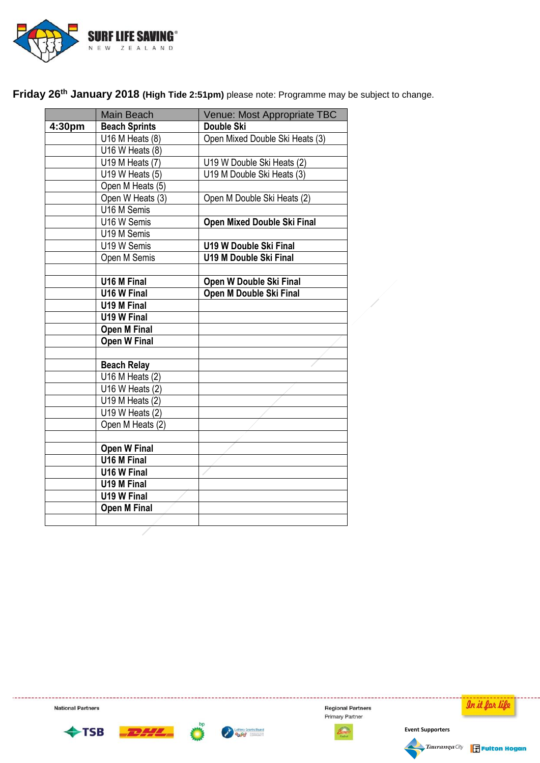

Friday 26<sup>th</sup> January 2018 (High Tide 2:51pm) please note: Programme may be subject to change.

|        | Main Beach               | Venue: Most Appropriate TBC     |  |  |
|--------|--------------------------|---------------------------------|--|--|
| 4:30pm | <b>Beach Sprints</b>     | Double Ski                      |  |  |
|        | $U16 M$ Heats $(8)$      | Open Mixed Double Ski Heats (3) |  |  |
|        | U16 W Heats $(8)$        |                                 |  |  |
|        | U19 M Heats (7)          | U19 W Double Ski Heats (2)      |  |  |
|        | U19 W Heats (5)          | U19 M Double Ski Heats (3)      |  |  |
|        | Open M Heats (5)         |                                 |  |  |
|        | Open W Heats (3)         | Open M Double Ski Heats (2)     |  |  |
|        | U16 M Semis              |                                 |  |  |
|        | U16 W Semis              | Open Mixed Double Ski Final     |  |  |
|        | U19 M Semis              |                                 |  |  |
|        | U19 W Semis              | <b>U19 W Double Ski Final</b>   |  |  |
|        | Open M Semis             | <b>U19 M Double Ski Final</b>   |  |  |
|        |                          |                                 |  |  |
|        | U16 M Final              | Open W Double Ski Final         |  |  |
|        | U16 W Final              | Open M Double Ski Final         |  |  |
|        | U19 M Final              |                                 |  |  |
|        | U19 W Final              |                                 |  |  |
|        | <b>Open M Final</b>      |                                 |  |  |
|        | <b>Open W Final</b>      |                                 |  |  |
|        |                          |                                 |  |  |
|        | <b>Beach Relay</b>       |                                 |  |  |
|        | $U16 M$ Heats (2)        |                                 |  |  |
|        | U16 W Heats $(2)$        |                                 |  |  |
|        | $U19 M$ Heats (2)        |                                 |  |  |
|        | $U19$ W Heats (2)        |                                 |  |  |
|        | Open M Heats (2)         |                                 |  |  |
|        |                          |                                 |  |  |
|        | <b>Open W Final</b>      |                                 |  |  |
|        | $\overline{U16 M}$ Final |                                 |  |  |
|        | U16 W Final              |                                 |  |  |
|        | U19 M Final              |                                 |  |  |
|        | U19 W Final              |                                 |  |  |
|        | <b>Open M Final</b>      |                                 |  |  |
|        |                          |                                 |  |  |

**National Partners** 





**Regional Partners** Primary Partner





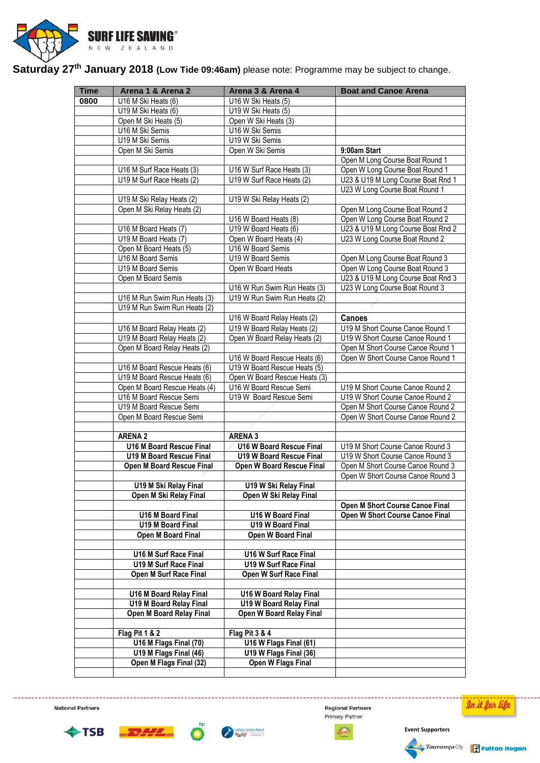

**Saturday 27th January 2018 (Low Tide 09:46am)** please note: Programme may be subject to change.

| <b>Time</b> | Arena 1 & Arena 2               | Arena 3 & Arena 4                       | <b>Boat and Canoe Arena</b>            |
|-------------|---------------------------------|-----------------------------------------|----------------------------------------|
| 0800        | U16 M Ski Heats (6)             | U16 W Ski Heats (5)                     |                                        |
|             | U19 M Ski Heats (6)             | U19 W Ski Heats (5)                     |                                        |
|             | Open M Ski Heats (5)            |                                         |                                        |
|             | U16 M Ski Semis                 | Open W Ski Heats (3)<br>U16 W Ski Semis |                                        |
|             |                                 | U19 W Ski Semis                         |                                        |
|             | U19 M Ski Semis                 |                                         |                                        |
|             | Open M Ski Semis                | Open W Ski Semis                        | 9:00am Start                           |
|             |                                 |                                         | Open M Long Course Boat Round 1        |
|             | U16 M Surf Race Heats (3)       | U16 W Surf Race Heats (3)               | Open W Long Course Boat Round 1        |
|             | U19 M Surf Race Heats (2)       | U19 W Surf Race Heats (2)               | U23 & U19 M Long Course Boat Rnd 1     |
|             |                                 |                                         | U23 W Long Course Boat Round 1         |
|             | U19 M Ski Relay Heats (2)       | U19 W Ski Relay Heats (2)               |                                        |
|             | Open M Ski Relay Heats (2)      |                                         | Open M Long Course Boat Round 2        |
|             |                                 | U16 W Board Heats (8)                   | Open W Long Course Boat Round 2        |
|             | U16 M Board Heats (7)           | U19 W Board Heats (6)                   | U23 & U19 M Long Course Boat Rnd 2     |
|             | U19 M Board Heats (7)           | Open W Board Heats (4)                  | U23 W Long Course Boat Round 2         |
|             | Open M Board Heats (5)          | U16 W Board Semis                       |                                        |
|             | U16 M Board Semis               | U19 W Board Semis                       | Open M Long Course Boat Round 3        |
|             | U19 M Board Semis               | Open W Board Heats                      | Open W Long Course Boat Round 3        |
|             | Open M Board Semis              |                                         | U23 & U19 M Long Course Boat Rnd 3     |
|             |                                 | U16 W Run Swim Run Heats (3)            | U23 W Long Course Boat Round 3         |
|             | U16 M Run Swim Run Heats (3)    | U19 W Run Swim Run Heats (2)            |                                        |
|             | U19 M Run Swim Run Heats (2)    |                                         |                                        |
|             |                                 | U16 W Board Relay Heats (2)             | <b>Canoes</b>                          |
|             | U16 M Board Relay Heats (2)     | U19 W Board Relay Heats (2)             | U19 M Short Course Canoe Round 1       |
|             |                                 | Open W Board Relay Heats (2)            | U19 W Short Course Canoe Round 1       |
|             | U19 M Board Relay Heats (2)     |                                         |                                        |
|             | Open M Board Relay Heats (2)    |                                         | Open M Short Course Canoe Round 1      |
|             |                                 | U16 W Board Rescue Heats (6)            | Open W Short Course Canoe Round 1      |
|             | U16 M Board Rescue Heats (6)    | U19 W Board Rescue Heats (5)            |                                        |
|             | U19 M Board Rescue Heats (6)    | Open W Board Rescue Heats (3)           |                                        |
|             | Open M Board Rescue Heats (4)   | U16 W Board Rescue Semi                 | U19 M Short Course Canoe Round 2       |
|             | U16 M Board Rescue Semi         | U19 W Board Rescue Semi                 | U19 W Short Course Canoe Round 2       |
|             | U19 M Board Rescue Semi         |                                         | Open M Short Course Canoe Round 2      |
|             | Open M Board Rescue Semi        |                                         | Open W Short Course Canoe Round 2      |
|             |                                 |                                         |                                        |
|             | <b>ARENA 2</b>                  | <b>ARENA 3</b>                          |                                        |
|             | <b>U16 M Board Rescue Final</b> | <b>U16 W Board Rescue Final</b>         | U19 M Short Course Canoe Round 3       |
|             | U19 M Board Rescue Final        | <b>U19 W Board Rescue Final</b>         | U19 W Short Course Canoe Round 3       |
|             | Open M Board Rescue Final       | <b>Open W Board Rescue Final</b>        | Open M Short Course Canoe Round 3      |
|             |                                 |                                         | Open W Short Course Canoe Round 3      |
|             | U19 M Ski Relay Final           | U19 W Ski Relay Final                   |                                        |
|             | Open M Ski Relay Final          | Open W Ski Relay Final                  |                                        |
|             |                                 |                                         | Open M Short Course Canoe Final        |
|             | U16 M Board Final               | U16 W Board Final                       | <b>Open W Short Course Canoe Final</b> |
|             | U19 M Board Final               | U19 W Board Final                       |                                        |
|             | Open M Board Final              | Open W Board Final                      |                                        |
|             |                                 |                                         |                                        |
|             | U16 M Surf Race Final           | U16 W Surf Race Final                   |                                        |
|             | U19 M Surf Race Final           | U19 W Surf Race Final                   |                                        |
|             | Open M Surf Race Final          | Open W Surf Race Final                  |                                        |
|             |                                 |                                         |                                        |
|             | U16 M Board Relay Final         | U16 W Board Relay Final                 |                                        |
|             | <b>U19 M Board Relay Final</b>  | <b>U19 W Board Relay Final</b>          |                                        |
|             | Open M Board Relay Final        | Open W Board Relay Final                |                                        |
|             |                                 |                                         |                                        |
|             | Flag Pit 1 & 2                  | Flag Pit 3 & 4                          |                                        |
|             | U16 M Flags Final (70)          | U16 W Flags Final (61)                  |                                        |
|             | U19 M Flags Final (46)          | U19 W Flags Final (36)                  |                                        |
|             | Open M Flags Final (32)         | <b>Open W Flags Final</b>               |                                        |
|             |                                 |                                         |                                        |

**National Partners** 





**Regional Partners** Primary Partner





In it far life